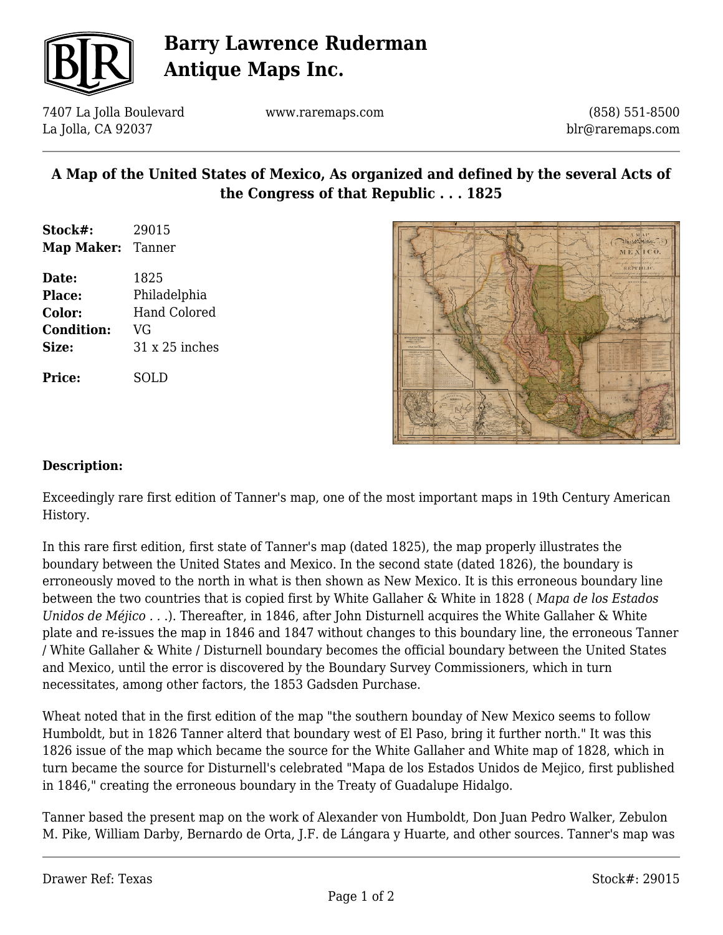

# **Barry Lawrence Ruderman Antique Maps Inc.**

7407 La Jolla Boulevard La Jolla, CA 92037

www.raremaps.com

(858) 551-8500 blr@raremaps.com

## **A Map of the United States of Mexico, As organized and defined by the several Acts of the Congress of that Republic . . . 1825**

- **Stock#:** 29015 **Map Maker:** Tanner
- **Date:** 1825 **Place:** Philadelphia **Color:** Hand Colored **Condition:** VG **Size:** 31 x 25 inches

**Price:** SOLD



#### **Description:**

Exceedingly rare first edition of Tanner's map, one of the most important maps in 19th Century American History.

In this rare first edition, first state of Tanner's map (dated 1825), the map properly illustrates the boundary between the United States and Mexico. In the second state (dated 1826), the boundary is erroneously moved to the north in what is then shown as New Mexico. It is this erroneous boundary line between the two countries that is copied first by White Gallaher & White in 1828 ( *Mapa de los Estados Unidos de Méjico . .* .). Thereafter, in 1846, after John Disturnell acquires the White Gallaher & White plate and re-issues the map in 1846 and 1847 without changes to this boundary line, the erroneous Tanner / White Gallaher & White / Disturnell boundary becomes the official boundary between the United States and Mexico, until the error is discovered by the Boundary Survey Commissioners, which in turn necessitates, among other factors, the 1853 Gadsden Purchase.

Wheat noted that in the first edition of the map "the southern bounday of New Mexico seems to follow Humboldt, but in 1826 Tanner alterd that boundary west of El Paso, bring it further north." It was this 1826 issue of the map which became the source for the White Gallaher and White map of 1828, which in turn became the source for Disturnell's celebrated "Mapa de los Estados Unidos de Mejico, first published in 1846," creating the erroneous boundary in the Treaty of Guadalupe Hidalgo.

Tanner based the present map on the work of Alexander von Humboldt, Don Juan Pedro Walker, Zebulon M. Pike, William Darby, Bernardo de Orta, J.F. de Lángara y Huarte, and other sources. Tanner's map was